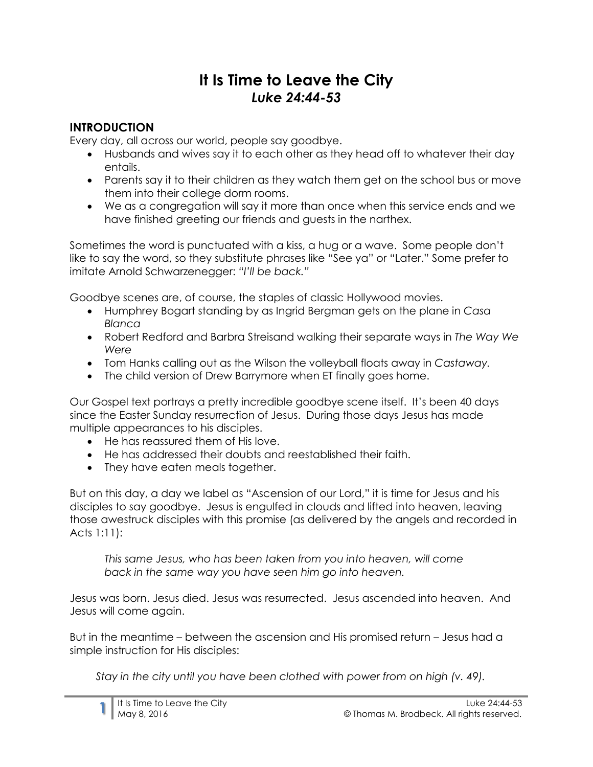# **It Is Time to Leave the City** *Luke 24:44-53*

### **INTRODUCTION**

Every day, all across our world, people say goodbye.

- Husbands and wives say it to each other as they head off to whatever their day entails.
- Parents say it to their children as they watch them get on the school bus or move them into their college dorm rooms.
- We as a congregation will say it more than once when this service ends and we have finished greeting our friends and guests in the narthex.

Sometimes the word is punctuated with a kiss, a hug or a wave. Some people don't like to say the word, so they substitute phrases like "See ya" or "Later." Some prefer to imitate Arnold Schwarzenegger: *"I'll be back."*

Goodbye scenes are, of course, the staples of classic Hollywood movies.

- Humphrey Bogart standing by as Ingrid Bergman gets on the plane in *Casa Blanca*
- Robert Redford and Barbra Streisand walking their separate ways in *The Way We Were*
- Tom Hanks calling out as the Wilson the volleyball floats away in *Castaway.*
- The child version of Drew Barrymore when ET finally goes home.

Our Gospel text portrays a pretty incredible goodbye scene itself. It's been 40 days since the Easter Sunday resurrection of Jesus. During those days Jesus has made multiple appearances to his disciples.

- He has reassured them of His love.
- He has addressed their doubts and reestablished their faith.
- They have eaten meals together.

But on this day, a day we label as "Ascension of our Lord," it is time for Jesus and his disciples to say goodbye. Jesus is engulfed in clouds and lifted into heaven, leaving those awestruck disciples with this promise (as delivered by the angels and recorded in Acts 1:11):

*This same Jesus, who has been taken from you into heaven, will come back in the same way you have seen him go into heaven.*

Jesus was born. Jesus died. Jesus was resurrected. Jesus ascended into heaven. And Jesus will come again.

But in the meantime – between the ascension and His promised return – Jesus had a simple instruction for His disciples:

*Stay in the city until you have been clothed with power from on high (v. 49).*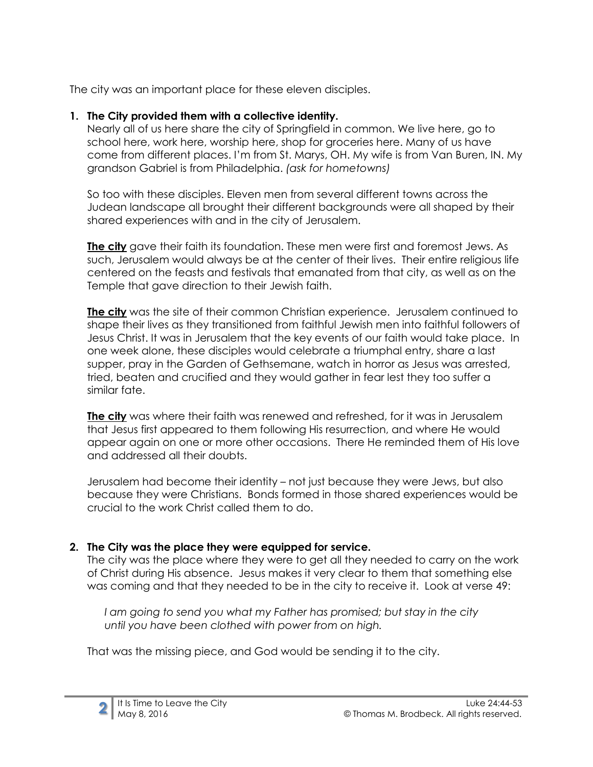The city was an important place for these eleven disciples.

#### **1. The City provided them with a collective identity.**

Nearly all of us here share the city of Springfield in common. We live here, go to school here, work here, worship here, shop for groceries here. Many of us have come from different places. I'm from St. Marys, OH. My wife is from Van Buren, IN. My grandson Gabriel is from Philadelphia. *(ask for hometowns)*

So too with these disciples. Eleven men from several different towns across the Judean landscape all brought their different backgrounds were all shaped by their shared experiences with and in the city of Jerusalem.

**The city** gave their faith its foundation. These men were first and foremost Jews. As such, Jerusalem would always be at the center of their lives. Their entire religious life centered on the feasts and festivals that emanated from that city, as well as on the Temple that gave direction to their Jewish faith.

**The city** was the site of their common Christian experience. Jerusalem continued to shape their lives as they transitioned from faithful Jewish men into faithful followers of Jesus Christ. It was in Jerusalem that the key events of our faith would take place. In one week alone, these disciples would celebrate a triumphal entry, share a last supper, pray in the Garden of Gethsemane, watch in horror as Jesus was arrested, tried, beaten and crucified and they would gather in fear lest they too suffer a similar fate.

**The city** was where their faith was renewed and refreshed, for it was in Jerusalem that Jesus first appeared to them following His resurrection, and where He would appear again on one or more other occasions. There He reminded them of His love and addressed all their doubts.

Jerusalem had become their identity – not just because they were Jews, but also because they were Christians. Bonds formed in those shared experiences would be crucial to the work Christ called them to do.

## **2. The City was the place they were equipped for service.**

The city was the place where they were to get all they needed to carry on the work of Christ during His absence. Jesus makes it very clear to them that something else was coming and that they needed to be in the city to receive it. Look at verse 49:

*I am going to send you what my Father has promised; but stay in the city until you have been clothed with power from on high.*

That was the missing piece, and God would be sending it to the city.

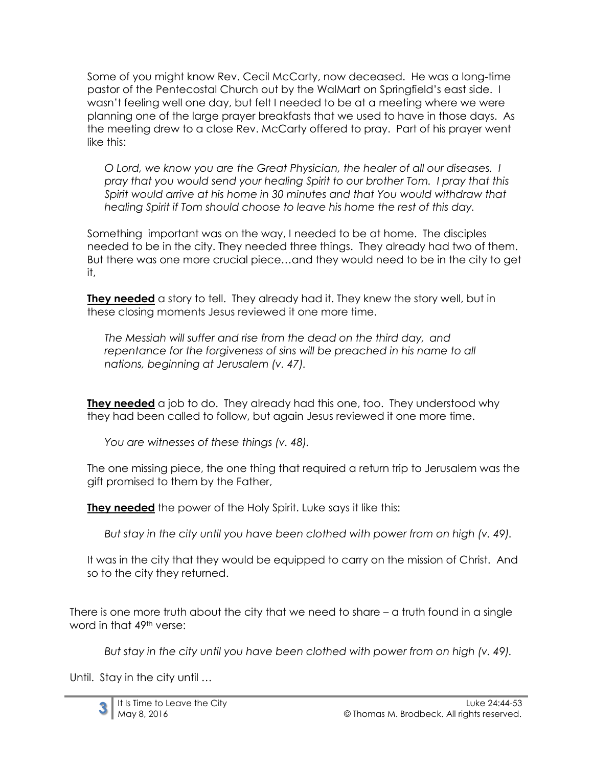Some of you might know Rev. Cecil McCarty, now deceased. He was a long-time pastor of the Pentecostal Church out by the WalMart on Springfield's east side. I wasn't feeling well one day, but felt I needed to be at a meeting where we were planning one of the large prayer breakfasts that we used to have in those days. As the meeting drew to a close Rev. McCarty offered to pray. Part of his prayer went like this:

*O Lord, we know you are the Great Physician, the healer of all our diseases. I pray that you would send your healing Spirit to our brother Tom. I pray that this Spirit would arrive at his home in 30 minutes and that You would withdraw that healing Spirit if Tom should choose to leave his home the rest of this day.*

Something important was on the way, I needed to be at home. The disciples needed to be in the city. They needed three things. They already had two of them. But there was one more crucial piece…and they would need to be in the city to get it,

**They needed** a story to tell. They already had it. They knew the story well, but in these closing moments Jesus reviewed it one more time.

*The Messiah will suffer and rise from the dead on the third day, and repentance for the forgiveness of sins will be preached in his name to all nations, beginning at Jerusalem (v. 47).*

**They needed** a job to do. They already had this one, too. They understood why they had been called to follow, but again Jesus reviewed it one more time.

*You are witnesses of these things (v. 48).*

The one missing piece, the one thing that required a return trip to Jerusalem was the gift promised to them by the Father,

**They needed** the power of the Holy Spirit. Luke says it like this:

*But stay in the city until you have been clothed with power from on high (v. 49).*

It was in the city that they would be equipped to carry on the mission of Christ. And so to the city they returned.

There is one more truth about the city that we need to share – a truth found in a single word in that 49th verse:

*But stay in the city until you have been clothed with power from on high (v. 49).*

Until. Stay in the city until …

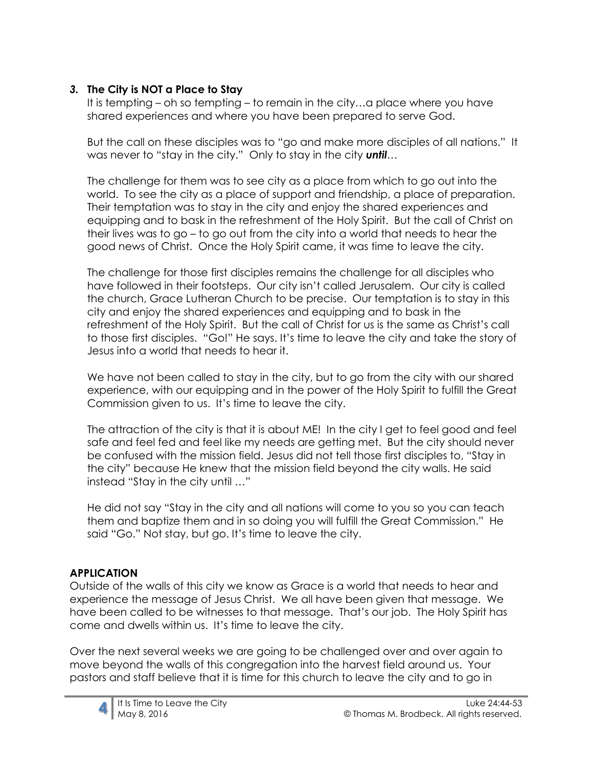#### *3.* **The City is NOT a Place to Stay**

It is tempting – oh so tempting – to remain in the city…a place where you have shared experiences and where you have been prepared to serve God.

But the call on these disciples was to "go and make more disciples of all nations." It was never to "stay in the city." Only to stay in the city *until*…

The challenge for them was to see city as a place from which to go out into the world. To see the city as a place of support and friendship, a place of preparation. Their temptation was to stay in the city and enjoy the shared experiences and equipping and to bask in the refreshment of the Holy Spirit. But the call of Christ on their lives was to go – to go out from the city into a world that needs to hear the good news of Christ. Once the Holy Spirit came, it was time to leave the city.

The challenge for those first disciples remains the challenge for all disciples who have followed in their footsteps. Our city isn't called Jerusalem. Our city is called the church, Grace Lutheran Church to be precise. Our temptation is to stay in this city and enjoy the shared experiences and equipping and to bask in the refreshment of the Holy Spirit. But the call of Christ for us is the same as Christ's call to those first disciples. "Go!" He says. It's time to leave the city and take the story of Jesus into a world that needs to hear it.

We have not been called to stay in the city, but to go from the city with our shared experience, with our equipping and in the power of the Holy Spirit to fulfill the Great Commission given to us. It's time to leave the city.

The attraction of the city is that it is about ME! In the city I get to feel good and feel safe and feel fed and feel like my needs are getting met. But the city should never be confused with the mission field. Jesus did not tell those first disciples to, "Stay in the city" because He knew that the mission field beyond the city walls. He said instead "Stay in the city until …"

He did not say "Stay in the city and all nations will come to you so you can teach them and baptize them and in so doing you will fulfill the Great Commission." He said "Go." Not stay, but go. It's time to leave the city.

## **APPLICATION**

Outside of the walls of this city we know as Grace is a world that needs to hear and experience the message of Jesus Christ. We all have been given that message. We have been called to be witnesses to that message. That's our job. The Holy Spirit has come and dwells within us. It's time to leave the city.

Over the next several weeks we are going to be challenged over and over again to move beyond the walls of this congregation into the harvest field around us. Your pastors and staff believe that it is time for this church to leave the city and to go in